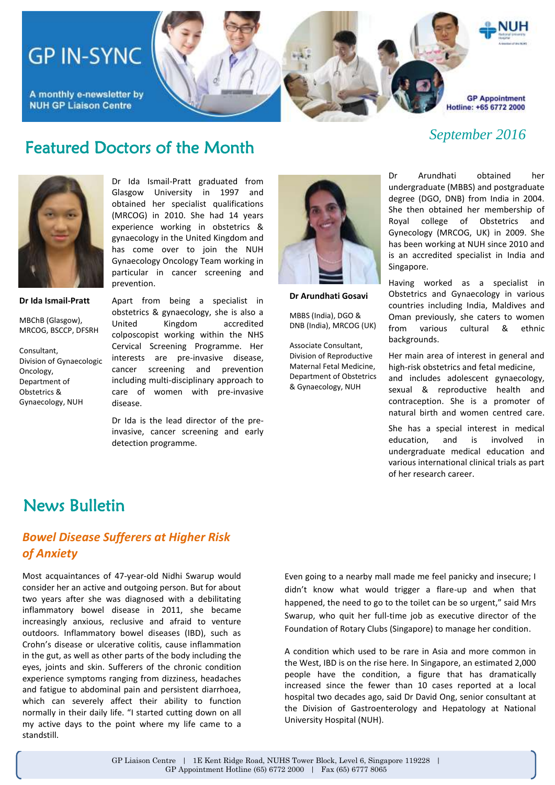# **GP IN-SYNC**

A monthly e-newsletter by **NUH GP Liaison Centre** 

**GP Appointment** Hotline: +65 6772 2000

#### *September 2016*

### Featured Doctors of the Month



Dr Ida Ismail-Pratt graduated from Glasgow University in 1997 and obtained her specialist qualifications (MRCOG) in 2010. She had 14 years experience working in obstetrics & gynaecology in the United Kingdom and has come over to join the NUH Gynaecology Oncology Team working in particular in cancer screening and prevention.

#### **Dr Ida Ismail-Pratt**

MBChB (Glasgow), MRCOG, BSCCP, DFSRH

Consultant, Division of Gynaecologic Oncology, Department of Obstetrics & Gynaecology, NUH

Apart from being a specialist in obstetrics & gynaecology, she is also a United Kingdom accredited colposcopist working within the NHS Cervical Screening Programme. Her interests are pre-invasive disease, cancer screening and prevention including multi-disciplinary approach to care of women with pre-invasive disease.

Dr Ida is the lead director of the preinvasive, cancer screening and early detection programme.



**Dr Arundhati Gosavi**

MBBS (India), DGO & DNB (India), MRCOG (UK)

Associate Consultant, Division of Reproductive Maternal Fetal Medicine, Department of Obstetrics & Gynaecology, NUH

Dr Arundhati obtained her undergraduate (MBBS) and postgraduate degree (DGO, DNB) from India in 2004. She then obtained her membership of Royal college of Obstetrics and Gynecology (MRCOG, UK) in 2009. She has been working at NUH since 2010 and is an accredited specialist in India and Singapore.

Having worked as a specialist in Obstetrics and Gynaecology in various countries including India, Maldives and Oman previously, she caters to women from various cultural & ethnic backgrounds.

Her main area of interest in general and high-risk obstetrics and fetal medicine,

and includes adolescent gynaecology, sexual & reproductive health and contraception. She is a promoter of natural birth and women centred care.

She has a special interest in medical education, and is involved in undergraduate medical education and various international clinical trials as part of her research career.

#### News Bulletin

#### *Bowel Disease Sufferers at Higher Risk of Anxiety*

Most acquaintances of 47-year-old Nidhi Swarup would consider her an active and outgoing person. But for about two years after she was diagnosed with a debilitating inflammatory bowel disease in 2011, she became increasingly anxious, reclusive and afraid to venture outdoors. Inflammatory bowel diseases (IBD), such as Crohn's disease or ulcerative colitis, cause inflammation in the gut, as well as other parts of the body including the eyes, joints and skin. Sufferers of the chronic condition experience symptoms ranging from dizziness, headaches and fatigue to abdominal pain and persistent diarrhoea, which can severely affect their ability to function normally in their daily life. "I started cutting down on all my active days to the point where my life came to a standstill.

Even going to a nearby mall made me feel panicky and insecure; I didn't know what would trigger a flare-up and when that happened, the need to go to the toilet can be so urgent," said Mrs Swarup, who quit her full-time job as executive director of the Foundation of Rotary Clubs (Singapore) to manage her condition.

A condition which used to be rare in Asia and more common in the West, IBD is on the rise here. In Singapore, an estimated 2,000 people have the condition, a figure that has dramatically increased since the fewer than 10 cases reported at a local hospital two decades ago, said Dr David Ong, senior consultant at the Division of Gastroenterology and Hepatology at National University Hospital (NUH).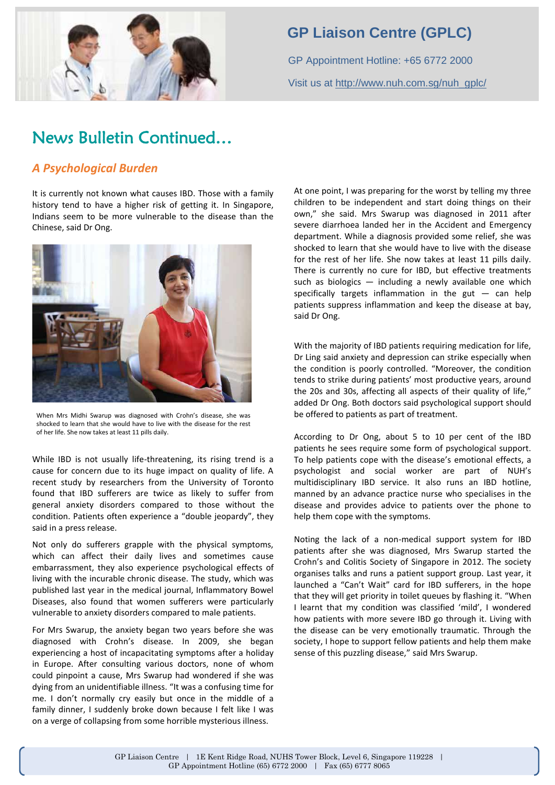

### **GP Liaison Centre (GPLC)**

GP Appointment Hotline: +65 6772 2000 Visit us at [http://www.nuh.com.sg/nuh\\_gplc/](http://www.nuh.com.sg/nuh_gplc/)

# News Bulletin Continued…

#### *A Psychological Burden*

It is currently not known what causes IBD. Those with a family history tend to have a higher risk of getting it. In Singapore, Indians seem to be more vulnerable to the disease than the Chinese, said Dr Ong.



When Mrs Midhi Swarup was diagnosed with Crohn's disease, she was shocked to learn that she would have to live with the disease for the rest of her life. She now takes at least 11 pills daily.

While IBD is not usually life-threatening, its rising trend is a cause for concern due to its huge impact on quality of life. A recent study by researchers from the University of Toronto found that IBD sufferers are twice as likely to suffer from general anxiety disorders compared to those without the condition. Patients often experience a "double jeopardy", they said in a press release.

Not only do sufferers grapple with the physical symptoms, which can affect their daily lives and sometimes cause embarrassment, they also experience psychological effects of living with the incurable chronic disease. The study, which was published last year in the medical journal, Inflammatory Bowel Diseases, also found that women sufferers were particularly vulnerable to anxiety disorders compared to male patients.

For Mrs Swarup, the anxiety began two years before she was diagnosed with Crohn's disease. In 2009, she began experiencing a host of incapacitating symptoms after a holiday in Europe. After consulting various doctors, none of whom could pinpoint a cause, Mrs Swarup had wondered if she was dying from an unidentifiable illness. "It was a confusing time for me. I don't normally cry easily but once in the middle of a family dinner, I suddenly broke down because I felt like I was on a verge of collapsing from some horrible mysterious illness.

At one point, I was preparing for the worst by telling my three children to be independent and start doing things on their own," she said. Mrs Swarup was diagnosed in 2011 after severe diarrhoea landed her in the Accident and Emergency department. While a diagnosis provided some relief, she was shocked to learn that she would have to live with the disease for the rest of her life. She now takes at least 11 pills daily. There is currently no cure for IBD, but effective treatments such as biologics — including a newly available one which specifically targets inflammation in the gut  $-$  can help patients suppress inflammation and keep the disease at bay, said Dr Ong.

With the majority of IBD patients requiring medication for life, Dr Ling said anxiety and depression can strike especially when the condition is poorly controlled. "Moreover, the condition tends to strike during patients' most productive years, around the 20s and 30s, affecting all aspects of their quality of life," added Dr Ong. Both doctors said psychological support should be offered to patients as part of treatment.

According to Dr Ong, about 5 to 10 per cent of the IBD patients he sees require some form of psychological support. To help patients cope with the disease's emotional effects, a psychologist and social worker are part of NUH's multidisciplinary IBD service. It also runs an IBD hotline, manned by an advance practice nurse who specialises in the disease and provides advice to patients over the phone to help them cope with the symptoms.

Noting the lack of a non-medical support system for IBD patients after she was diagnosed, Mrs Swarup started the Crohn's and Colitis Society of Singapore in 2012. The society organises talks and runs a patient support group. Last year, it launched a "Can't Wait" card for IBD sufferers, in the hope that they will get priority in toilet queues by flashing it. "When I learnt that my condition was classified 'mild', I wondered how patients with more severe IBD go through it. Living with the disease can be very emotionally traumatic. Through the society, I hope to support fellow patients and help them make sense of this puzzling disease," said Mrs Swarup.